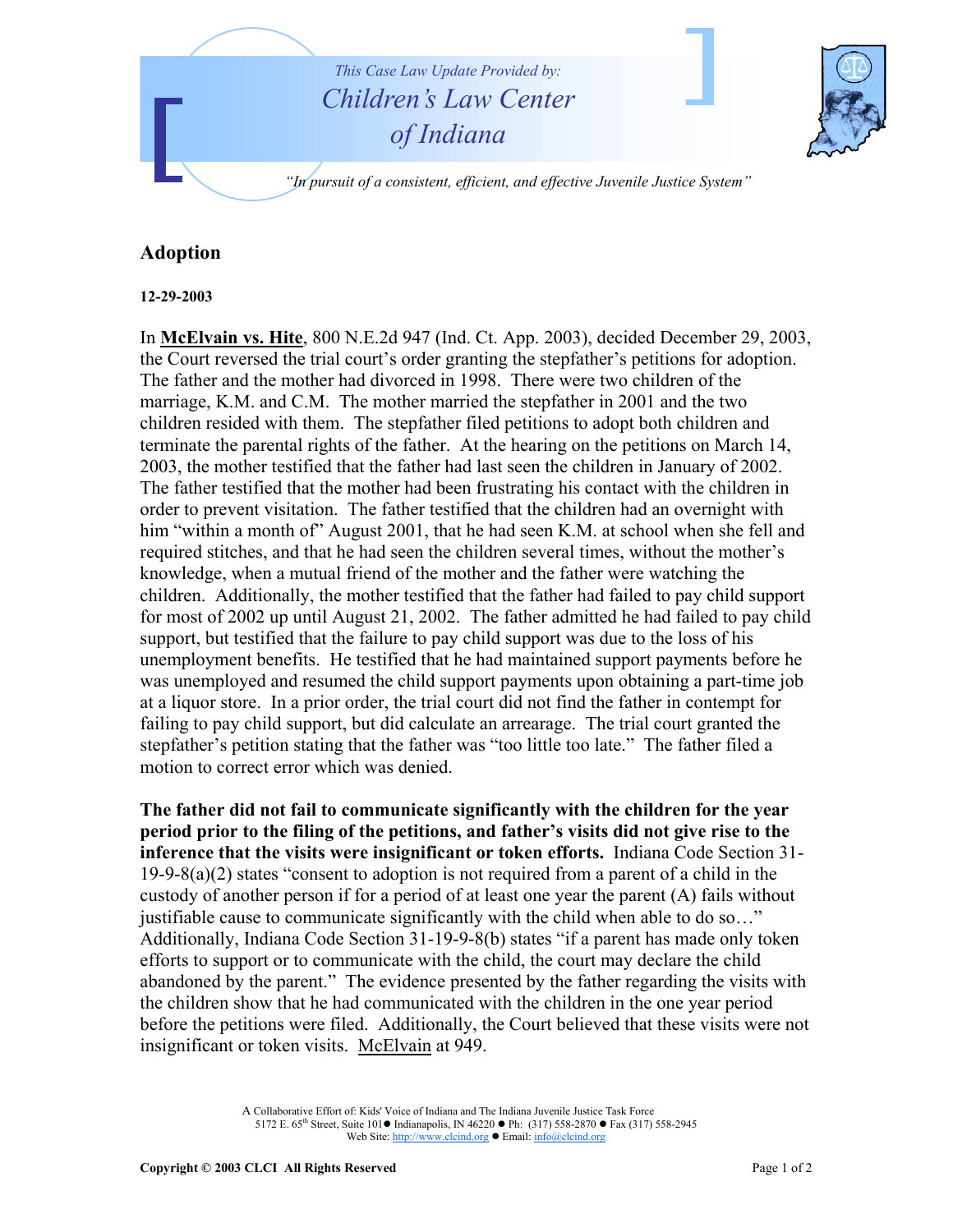

## **Adoption**

## **12-29-2003**

In **McElvain vs. Hite**, 800 N.E.2d 947 (Ind. Ct. App. 2003), decided December 29, 2003, the Court reversed the trial court's order granting the stepfather's petitions for adoption. The father and the mother had divorced in 1998. There were two children of the marriage, K.M. and C.M. The mother married the stepfather in 2001 and the two children resided with them. The stepfather filed petitions to adopt both children and terminate the parental rights of the father. At the hearing on the petitions on March 14, 2003, the mother testified that the father had last seen the children in January of 2002. The father testified that the mother had been frustrating his contact with the children in order to prevent visitation. The father testified that the children had an overnight with him "within a month of" August 2001, that he had seen K.M. at school when she fell and required stitches, and that he had seen the children several times, without the mother's knowledge, when a mutual friend of the mother and the father were watching the children. Additionally, the mother testified that the father had failed to pay child support for most of 2002 up until August 21, 2002. The father admitted he had failed to pay child support, but testified that the failure to pay child support was due to the loss of his unemployment benefits. He testified that he had maintained support payments before he was unemployed and resumed the child support payments upon obtaining a part-time job at a liquor store. In a prior order, the trial court did not find the father in contempt for failing to pay child support, but did calculate an arrearage. The trial court granted the stepfather's petition stating that the father was "too little too late." The father filed a motion to correct error which was denied.

**The father did not fail to communicate significantly with the children for the year period prior to the filing of the petitions, and father's visits did not give rise to the inference that the visits were insignificant or token efforts.** Indiana Code Section 31-  $19-9-8(a)(2)$  states "consent to adoption is not required from a parent of a child in the custody of another person if for a period of at least one year the parent (A) fails without justifiable cause to communicate significantly with the child when able to do so…" Additionally, Indiana Code Section 31-19-9-8(b) states "if a parent has made only token efforts to support or to communicate with the child, the court may declare the child abandoned by the parent." The evidence presented by the father regarding the visits with the children show that he had communicated with the children in the one year period before the petitions were filed. Additionally, the Court believed that these visits were not insignificant or token visits. McElvain at 949.

> A Collaborative Effort of: Kids' Voice of Indiana and The Indiana Juvenile Justice Task Force 5172 E. 65<sup>th</sup> Street, Suite 101 ● Indianapolis, IN 46220 ● Ph: (317) 558-2870 ● Fax (317) 558-2945 Web Site: http://www.clcind.org • Email: info@clcind.org